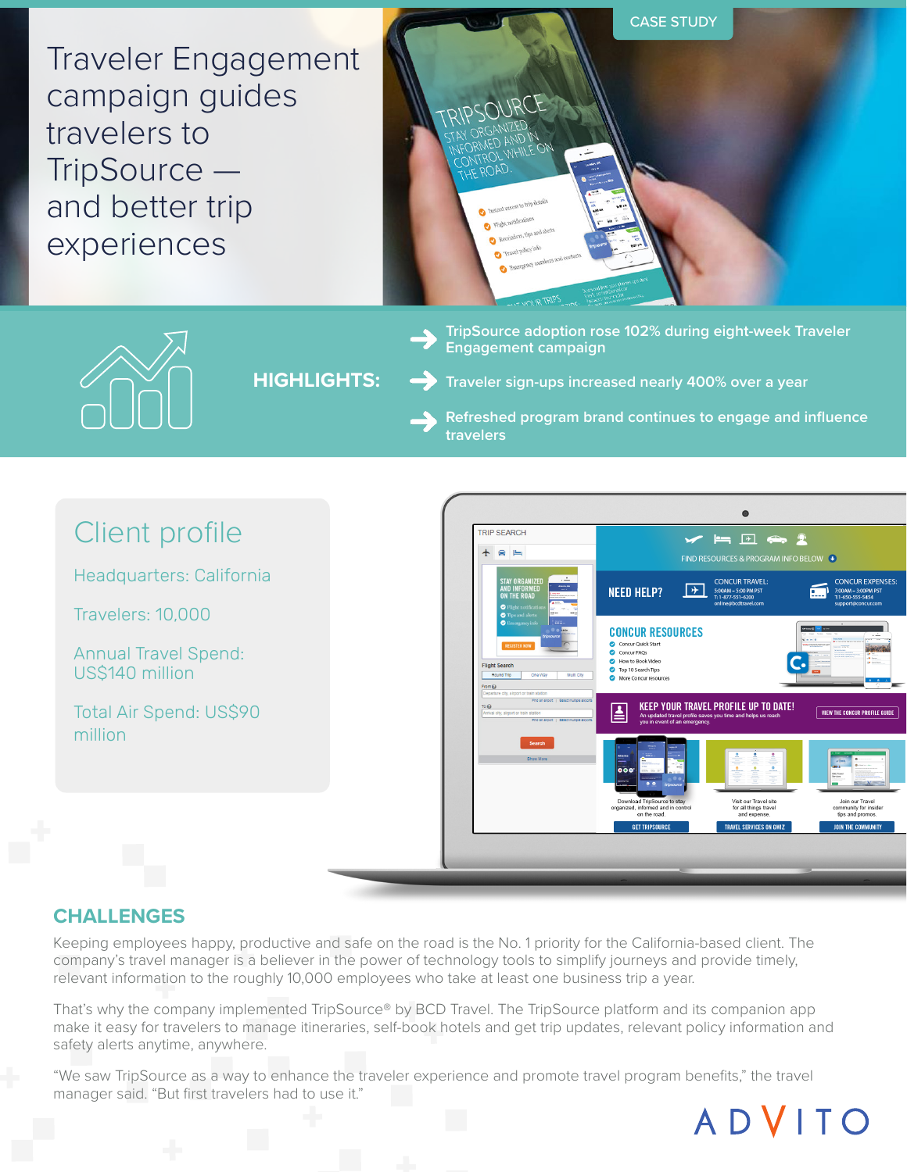CASE STUDY Traveler Engagement campaign guides RIPSOURC travelers to TripSource and better trip experiences **TripSource adoption rose 102% during eight-week Traveler Engagement campaign HIGHLIGHTS: Traveler sign-ups increased nearly 400% over a year Refreshed program brand continues to engage and influence travelers**  $\bullet$ Client profile **TRIP SEARCH**  $\times = 4$  $+$   $\approx$   $\approx$ FIND RESOURCES & PROGRAM INFO BELOW ( Headquarters: California **CONCUR TRAVEL: CONCUR EXPENSES NEED HELP?**  $\boxed{+}$ Travelers: 10,000 **CONCUR RESOURCES** O Concur Quick Start<br>
Concur FAQs<br>
O How to Book Video<br>
O Top 10 Search Tips Annual Travel Spend: US\$140 million KEEP YOUR TRAVEL PROFILE UP TO DATE! Total Air Spend: US\$90 VIEW THE CONCUR PROFILE GUIDE

# **CHALLENGES**

million

Keeping employees happy, productive and safe on the road is the No. 1 priority for the California-based client. The company's travel manager is a believer in the power of technology tools to simplify journeys and provide timely, relevant information to the roughly 10,000 employees who take at least one business trip a year.

That's why the company implemented TripSource® by BCD Travel. The TripSource platform and its companion app make it easy for travelers to manage itineraries, self-book hotels and get trip updates, relevant policy information and safety alerts anytime, anywhere.

"We saw TripSource as a way to enhance the traveler experience and promote travel program benefits," the travel manager said. "But first travelers had to use it."